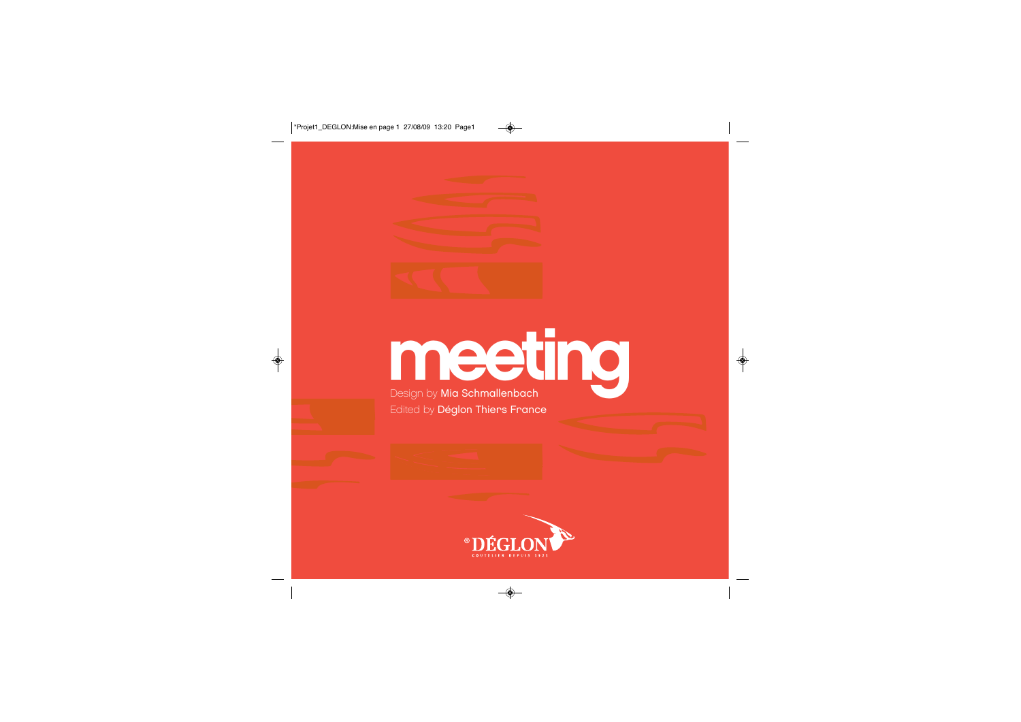

# **meeting Design by Mia Schmallenbach**

Edited by Déglon Thiers France

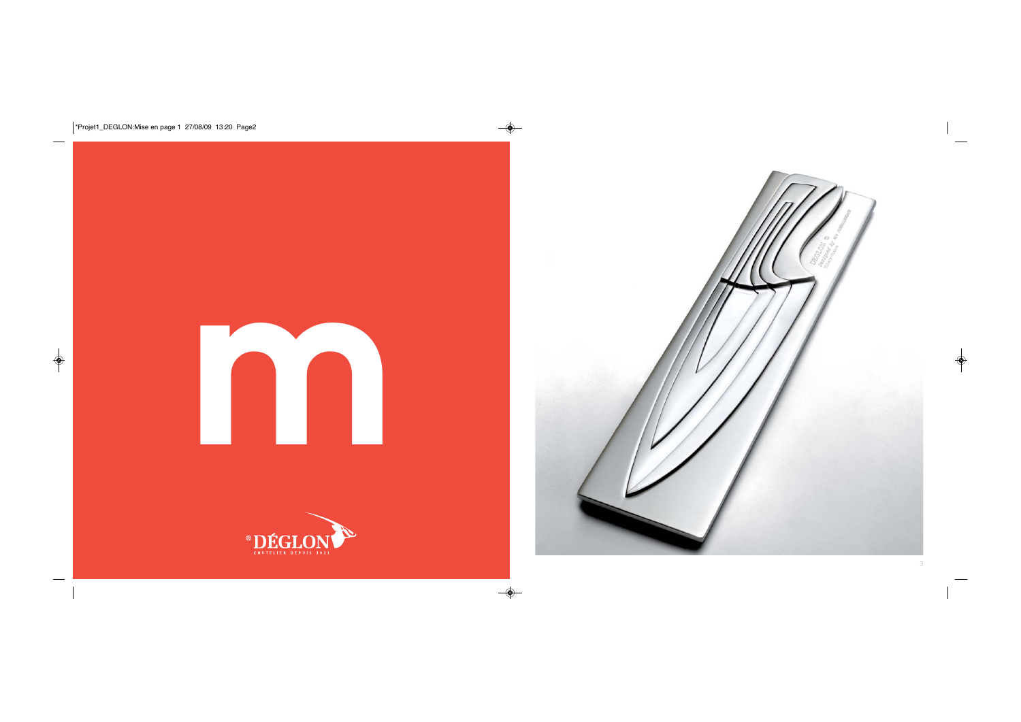



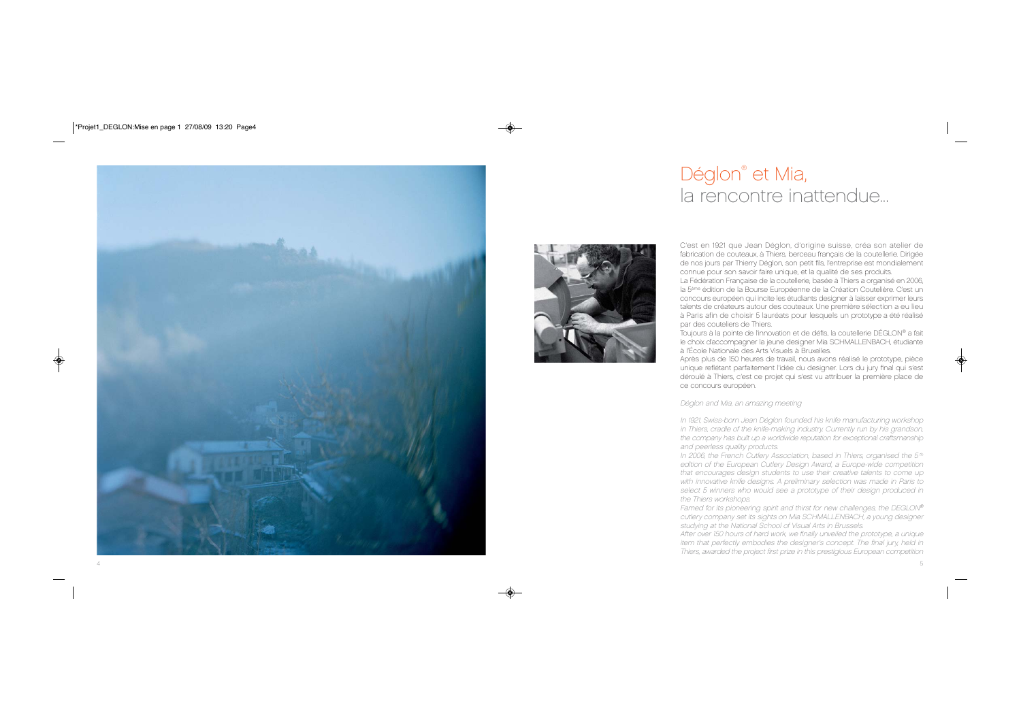

# Déglon<sup>®</sup> et Mia, la rencontre inattendue...



C'est en 1921 que Jean Déglon, d'origine suisse, créa son atelier de fabrication de couteaux, à Thiers, berceau français de la coutellerie. Dirigée de nos jours par Thierry Déglon, son petit fils, l'entreprise est mondialement connue pour son savoir faire unique, et la qualité de ses produits. La Fédération Française de la coutellerie, basée à Thiers a organisé en 2006, la 5ème édition de la Bourse Européenne de la Création Coutelière. C'est un concours européen qui incite les étudiants designer à laisser exprimer leurs talents de créateurs autour des couteaux. Une première sélection a eu lieu à Paris afin de choisir 5 lauréats pour lesquels un prototype a été réalisé par des couteliers de Thiers.

Toujours à la pointe de l'innovation et de défis, la coutellerie DÉGLON® a fait le choix d'accompagner la jeune designer Mia SCHMALLENBACH, étudiante à l'École Nationale des Arts Visuels à Bruxelles.

Après plus de 150 heures de travail, nous avons réalisé le prototype, pièce unique reflétant parfaitement l'idée du designer. Lors du jury final qui s'est déroulé à Thiers, c'est ce projet qui s'est vu attribuer la première place de ce concours européen.

Déglon and Mia, an amazing meeting

In 1921, Swiss-born Jean Déglon founded his knife manufacturing workshop in Thiers, cradle of the knife-making industry. Currently run by his grandson, the company has built up a worldwide reputation for exceptional craftsmanship and peerless quality products.

In 2006, the French Cutlery Association, based in Thiers, organised the  $5<sup>th</sup>$ edition of the European Cutlery Design Award, a Europe-wide competition that encourages design students to use their creative talents to come up with innovative knife designs. A preliminary selection was made in Paris to select 5 winners who would see a prototype of their design produced in the Thiers workshops.

Famed for its pioneering spirit and thirst for new challenges, the DEGLON® cutlery company set its sights on Mia SCHMALLENBACH, a young designer studying at the National School of Visual Arts in Brussels.

After over 150 hours of hard work, we finally unveiled the prototype, a unique item that perfectly embodies the designer's concept. The final jury, held in Thiers, awarded the project first prize in this prestigious European competition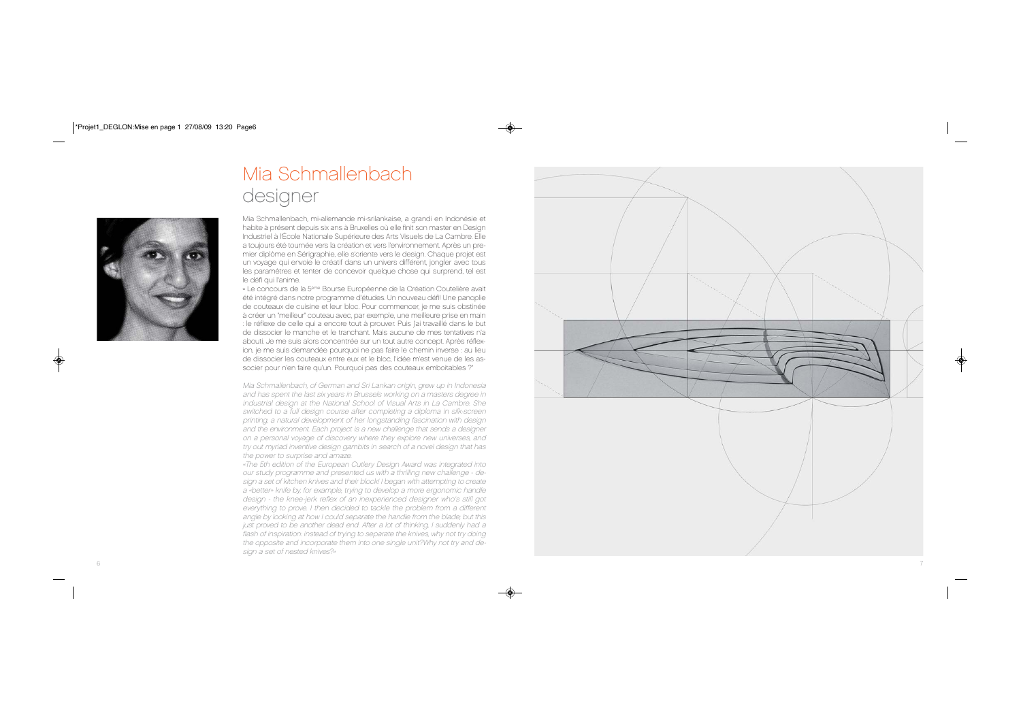# Mia Schmallenbach designer



Mia Schmallenbach, mi-allemande mi-srilankaise, a grandi en Indonésie et habite à présent depuis six ans à Bruxelles où elle finit son master en Design Industriel à l'École Nationale Supérieure des Arts Visuels de La Cambre. Elle a toujours été tournée vers la création et vers l'environnement. Après un premier diplôme en Sérigraphie, elle s'oriente vers le design. Chaque projet est un voyage qui envoie le créatif dans un univers différent, jongler avec tous les paramêtres et tenter de concevoir quelque chose qui surprend, tel est le défi qui l'anime.

« Le concours de la 5ème Bourse Européenne de la Création Coutelière avait été intégré dans notre programme d'études. Un nouveau défi! Une panoplie de couteaux de cuisine et leur bloc. Pour commencer, je me suis obstinée à créer un "meilleur" couteau avec, par exemple, une meilleure prise en main : le réflexe de celle qui a encore tout à prouver. Puis j'ai travaillé dans le but de dissocier le manche et le tranchant. Mais aucune de mes tentatives <sup>n</sup>'a abouti. Je me suis alors concentrée sur un tout autre concept. Après réflexion, je me suis demandée pourquoi ne pas faire le chemin inverse : au lieu de dissocier les couteaux entre eux et le bloc, l'idée m'est venue de les associer pour n'en faire qu'un. Pourquoi pas des couteaux emboitables ?"

Mia Schmallenbach, of German and Sri Lankan origin, grew up in Indonesia and has spent the last six years in Brussels working on a masters degree in industrial design at the National School of Visual Arts in La Cambre. She switched to a full design course after completing a diploma in silk-screen printing, a natural development of her longstanding fascination with design and the environment. Each project is a new challenge that sends a designer on a personal voyage of discovery where they explore new universes, and try out myriad inventive design gambits in search of a novel design that has the power to surprise and amaze.

«The 5th edition of the European Cutlery Design Award was integrated into our study programme and presented us with a thrilling new challenge - design a set of kitchen knives and their block! I began with attempting to create a «better» knife by, for example, trying to develop a more ergonomic handle design - the knee-jerk reflex of an inexperienced designer who's still got everything to prove. I then decided to tackle the problem from a different angle by looking at how I could separate the handle from the blade; but this just proved to be another dead end. After a lot of thinking, I suddenly had a flash of inspiration: instead of trying to separate the knives, why not try doing the opposite and incorporate them into one single unit?Why not try and design a set of nested knives?»

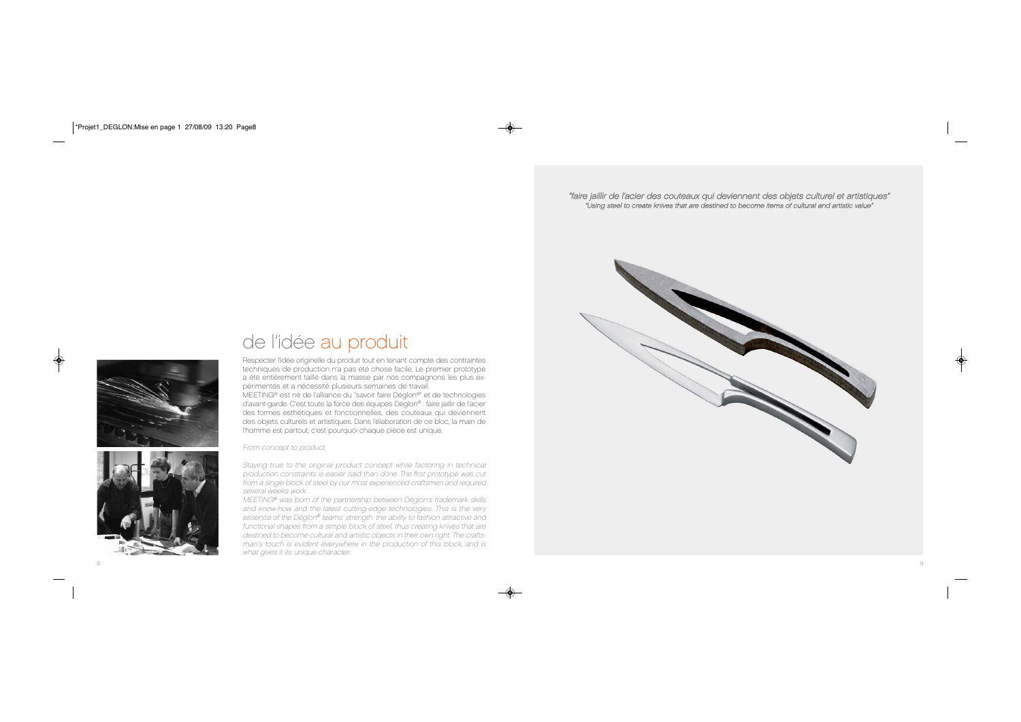"faire jaillir de l'acier des couteaux qui deviennent des objets culturel et artistiques" "Using steel to create knives that are destined to become items of cultural and artistic value"



## de l'idée au produit Respecter l'idée originelle du produit tout en tenant compte des contraintes techniques de production n'a pas été chose facile. Le premier prototype a été entièrement taillé dans la masse par nos compagnons les plus ex-

périmentés et a nécessité plusieurs semaines de travail. MEETING® est né de l'alliance du "savoir faire Déglon®" et de technologies d'avant-garde. C'est toute la force des équipes Déglon® : faire jaillir de l'acier des formes esthétiques et fonctionnelles, des couteaux qui deviennent des objets culturels et artistiques. Dans l'élaboration de ce bloc, la main de l'homme est partout, c'est pourquoi chaque pièce est unique.

From concept to product



Staying true to the original product concept while factoring in technical production constraints is easier said than done .The first prototype was cut from a single block of steel by our most experienced craftsmen and required several weeks work.

MEETING® was born of the partnership between Déglon's trademark skills and know-how and the latest cutting-edge technologies. This is the very essence of the Déglon® teams' strength: the ability to fashion attractive and functional shapes from a simple block of steel, thus creating knives that are destined to become cultural and artistic objects in their own right. The craftsman's touch is evident everywhere in the production of this block, and is what gives it its unique character.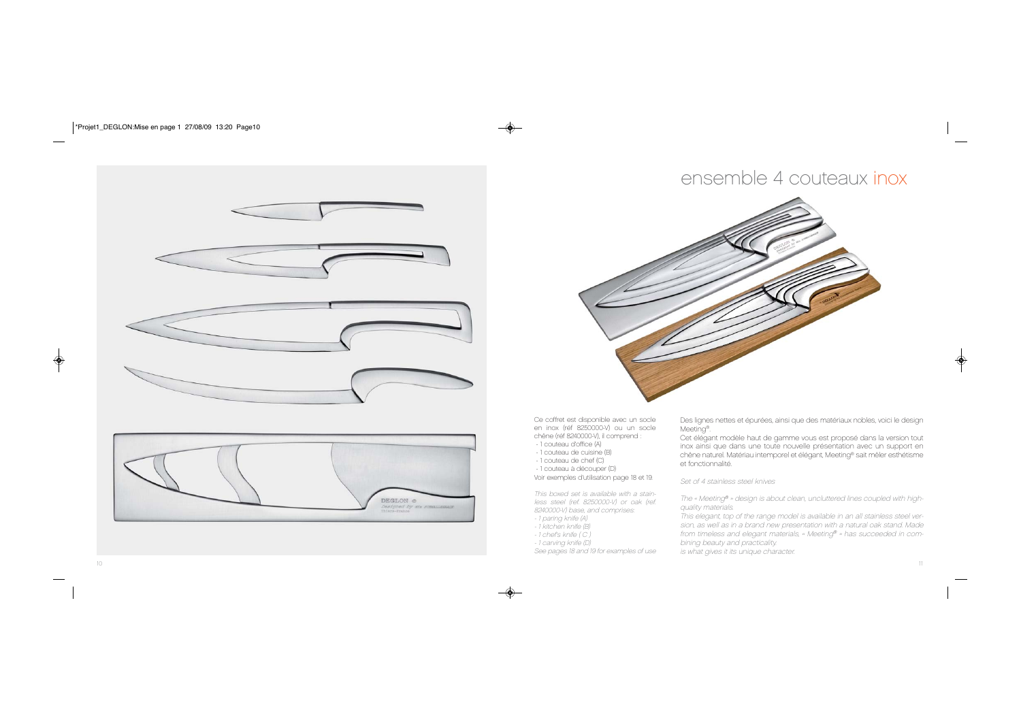

## ensemble 4 couteaux inox



Ce coffret est disponible avec un socle en inox (réf 8250000-V) ou un socle chêne (réf 8240000-V), il comprend :

- 1 couteau d'office (A)
- 1 couteau de cuisine (B)
- 1 couteau de chef (C)
- 1 couteau à découper (D)

Voir exemples d'utilisation page 18 et 19.

This boxed set is available with a stainless steel (ref. 8250000-V) or oak (ref. 8240000-V) base, and comprises:

- 1 paring knife (A)
- 1 kitchen knife (B)
- 1 chef's knife ( C )
- 1 carving knife (D)
- See pages 18 and 19 for examples of use

Des lignes nettes et épurées, ainsi que des matériaux nobles, voici le design Meeting®.

Cet élégant modèle haut de gamme vous est proposé dans la version tout inox ainsi que dans une toute nouvelle présentation avec un support en chêne naturel. Matériau intemporel et élégant, Meeting® sait mêler esthétisme et fonctionnalité.

Set of 4 stainless steel knives

The « Meeting® » design is about clean, uncluttered lines coupled with highquality materials.

This elegant, top of the range model is available in an all stainless steel version, as well as in a brand new presentation with a natural oak stand. Made from timeless and elegant materials, « Meeting® » has succeeded in combining beauty and practicality.

is what gives it its unique character.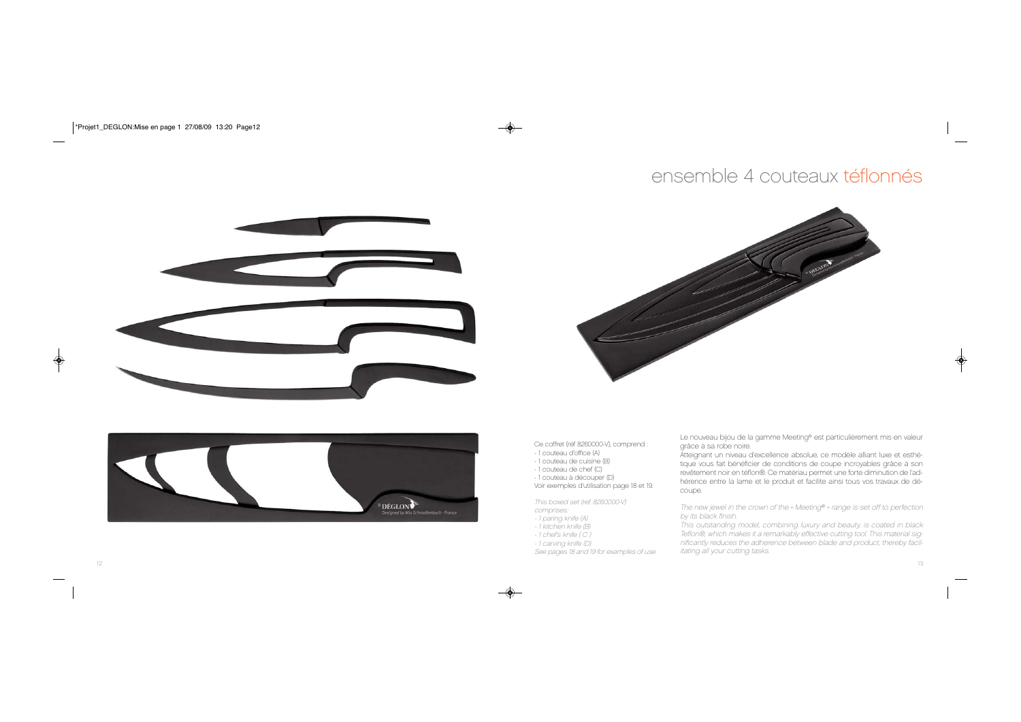# ensemble 4 couteaux téflonnés

![](_page_6_Picture_1.jpeg)

![](_page_6_Picture_2.jpeg)

![](_page_6_Picture_3.jpeg)

Ce coffret (réf 8260000-V), comprend :

- 1 couteau d'office (A)
- 1 couteau de cuisine (B)
- 1 couteau de chef (C)
- 1 couteau à découper (D)
- Voir exemples d'utilisation page 18 et 19.

This boxed set (ref. 8260000-V) comprises:

- 1 paring knife (A)
- 1 kitchen knife (B)
- 1 chef's knife ( C )
- 1 carving knife (D)

See pages 18 and 19 for examples of use

Le nouveau bijou de la gamme Meeting® est particulièrement mis en valeur grâce à sa robe noire.

Atteignant un niveau d'excellence absolue, ce modèle alliant luxe et esthétique vous fait bénéficier de conditions de coupe incroyables grâce à son revêtement noir en téflon®. Ce matériau permet une forte diminution de l'adhérence entre la lame et le produit et facilite ainsi tous vos travaux de découpe.

The new jewel in the crown of the « Meeting® » range is set off to perfection by its black finish.

This outstanding model, combining luxury and beauty, is coated in black Teflon®, which makes it a remarkably effective cutting tool. This material significantly reduces the adherence between blade and product, thereby facilitating all your cutting tasks.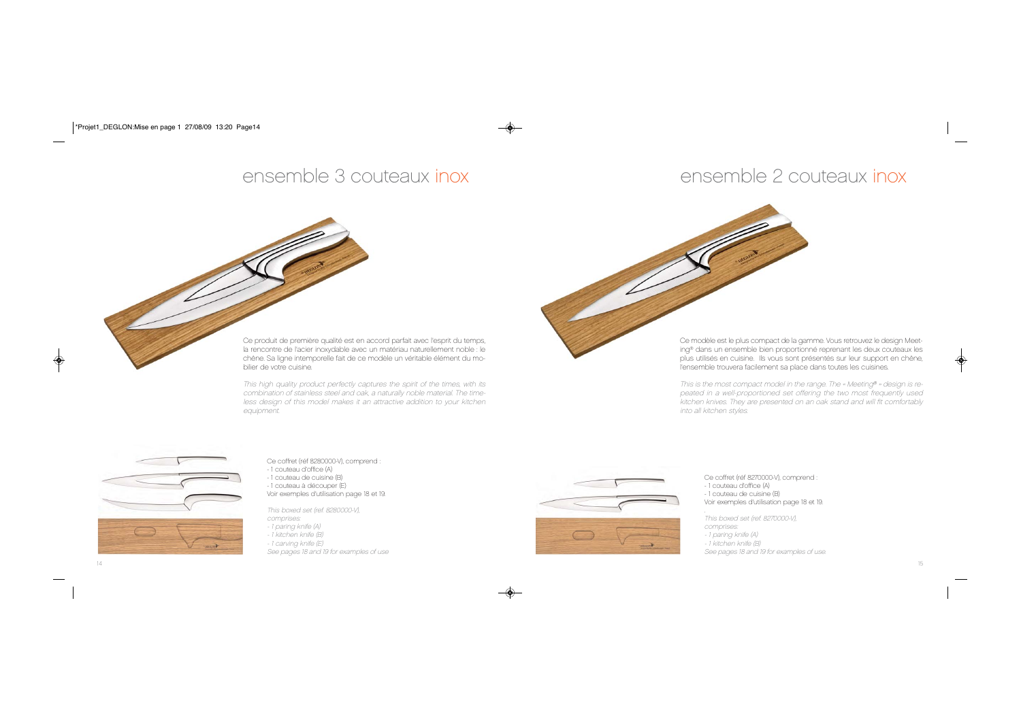## ensemble 3 couteaux inox ensemble 2 couteaux inox

Ce produit de première qualité est en accord parfait avec l'esprit du temps, la rencontre de l'acier inoxydable avec un matériau naturellement noble : le chêne. Sa ligne intemporelle fait de ce modèle un véritable élément du mobilier de votre cuisine.

This high quality product perfectly captures the spirit of the times, with its combination of stainless steel and oak, a naturally noble material. The timeless design of this model makes it an attractive addition to your kitchen equipment.

![](_page_7_Picture_4.jpeg)

Ce modèle est le plus compact de la gamme. Vous retrouvez le design Meeting® dans un ensemble bien proportionné reprenant les deux couteaux les plus utilisés en cuisine. Ils vous sont présentés sur leur support en chêne, l'ensemble trouvera facilement sa place dans toutes les cuisines.

This is the most compact model in the range. The « Meeting® » design is repeated in a well-proportioned set offering the two most frequently used kitchen knives. They are presented on an oak stand and will fit comfortably into all kitchen styles.

![](_page_7_Picture_7.jpeg)

Ce coffret (réf 8280000-V), comprend :

- 1 couteau d'office (A) - 1 couteau de cuisine (B)
- 1 couteau à découper (E)
- Voir exemples d'utilisation page 18 et 19.

This boxed set (ref. 8280000-V), comprises:

- 1 paring knife (A)
- 1 kitchen knife (B)
- 1 carving knife (E)
- See pages 18 and 19 for examples of use

![](_page_7_Picture_17.jpeg)

Ce coffret (réf 8270000-V), comprend : - 1 couteau d'office (A) - 1 couteau de cuisine (B) Voir exemples d'utilisation page 18 et 19.

This boxed set (ref. 8270000-V), comprises: - 1 paring knife (A) - 1 kitchen knife (B) See pages 18 and 19 for examples of use.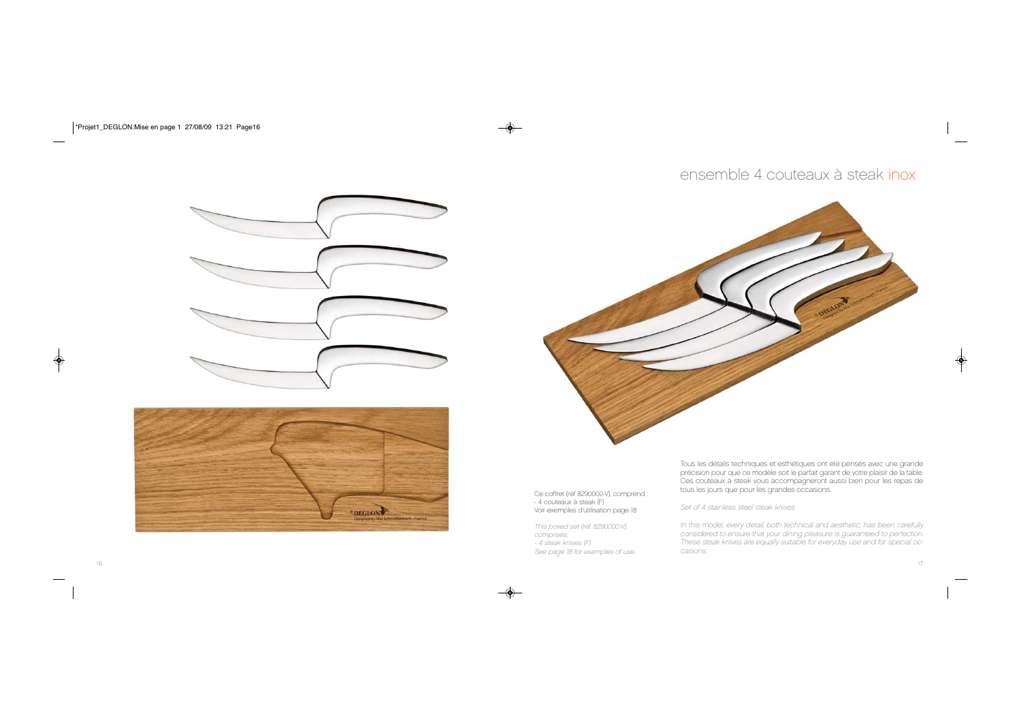## ensemble 4 couteaux à steak inox

![](_page_8_Picture_1.jpeg)

![](_page_8_Picture_2.jpeg)

![](_page_8_Picture_3.jpeg)

Ce coffret (réf 8290000-V), comprend : - 4 couteaux à steak (F) Voir exemples d'utilisation page 18

This boxed set (ref. 8290000-V), comprises: - 4 steak knives (F) See page 18 for examples of use. Tous les détails techniques et esthétiques ont été pensés avec une grande précision pour que ce modèle soit le parfait garant de votre plaisir de la table. Ces couteaux à steak vous accompagneront aussi bien pour les repas de tous les jours que pour les grandes occasions.

Set of 4 stainless steel steak knives

In this model, every detail, both technical and aesthetic, has been carefully considered to ensure that your dining pleasure is guaranteed to perfection. These steak knives are equally suitable for everyday use and for special occasions.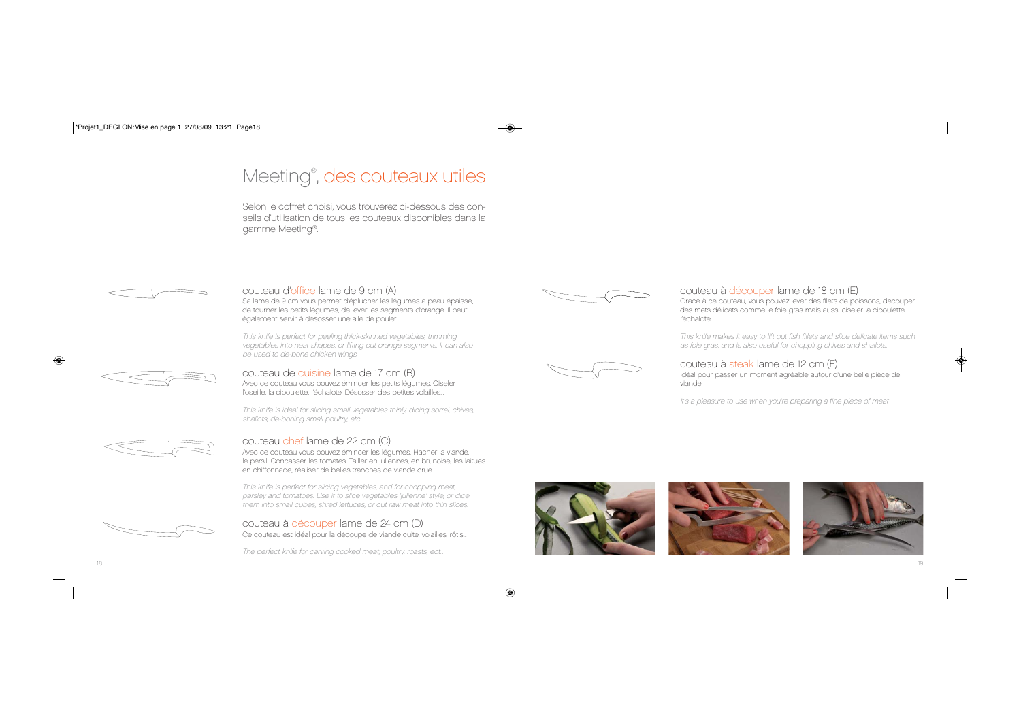# Meeting®, des couteaux utiles

Selon le coffret choisi, vous trouverez ci-dessous des conseils d'utilisation de tous les couteaux disponibles dans la gamme Meeting®.

## couteau d'office lame de 9 cm (A)

Sa lame de 9 cm vous permet d'éplucher les légumes à peau épaisse, de tourner les petits légumes, de lever les segments d'orange. Il peut également servir à désosser une aile de poulet

This knife is perfect for peeling thick-skinned vegetables, trimming vegetables into neat shapes, or lifting out orange segments. It can also be used to de-bone chicken wings.

## couteau de cuisine lame de 17 cm (B) Avec ce couteau vous pouvez émincer les petits légumes. Ciseler

l'oseille, la ciboulette, l'échalote. Désosser des petites volailles...

This knife is ideal for slicing small vegetables thinly, dicing sorrel, chives, shallots, de-boning small poultry, etc.

## couteau chef lame de 22 cm (C)

Avec ce couteau vous pouvez émincer les légumes. Hacher la viande, le persil. Concasser les tomates. Tailler en juliennes, en brunoise, les laitues en chiffonnade, réaliser de belles tranches de viande crue.

This knife is perfect for slicing vegetables, and for chopping meat, parsley and tomatoes. Use it to slice vegetables 'julienne' style, or dice them into small cubes, shred lettuces, or cut raw meat into thin slices.

![](_page_9_Picture_13.jpeg)

couteau à découper lame de 24 cm (D) Ce couteau est idéal pour la découpe de viande cuite, volailles, rôtis...

![](_page_9_Picture_15.jpeg)

![](_page_9_Picture_16.jpeg)

## couteau à découper lame de 18 cm (E)

Grace à ce couteau, vous pouvez lever des filets de poissons, découper des mets délicats comme le foie gras mais aussi ciseler la ciboulette, l'échalote.

This knife makes it easy to lift out fish fillets and slice delicate items such as foie gras, and is also useful for chopping chives and shallots.

## couteau à steak lame de 12 cm (F)

Idéal pour passer un moment agréable autour d'une belle pièce de viande.

It's a pleasure to use when you're preparing a fine piece of meat

![](_page_9_Picture_23.jpeg)

![](_page_9_Picture_24.jpeg)

![](_page_9_Picture_25.jpeg)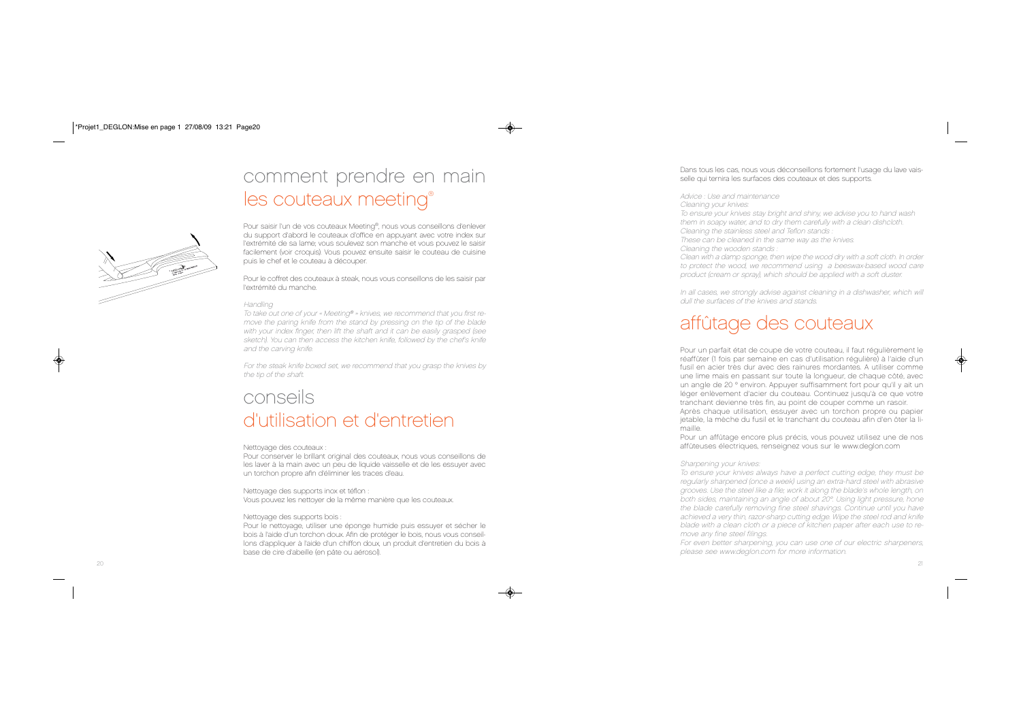# comment prendre en main les couteaux meeting®

![](_page_10_Picture_1.jpeg)

Pour saisir l'un de vos couteaux Meeting®, nous vous conseillons d'enlever du support d'abord le couteaux d'office en appuyant avec votre index sur l'extrémité de sa lame; vous soulevez son manche et vous pouvez le saisir facilement (voir croquis). Vous pouvez ensuite saisir le couteau de cuisine puis le chef et le couteau à découper.

Pour le coffret des couteaux à steak, nous vous conseillons de les saisir par l'extrémité du manche.

#### Handling

To take out one of your « Meeting® » knives, we recommend that you first remove the paring knife from the stand by pressing on the tip of the blade with your index finger, then lift the shaft and it can be easily grasped (see sketch). You can then access the kitchen knife, followed by the chef's knife and the carving knife.

For the steak knife boxed set, we recommend that you grasp the knives by the tip of the shaft.

# conseils d'utilisation et d'entretien

#### Nettoyage des couteaux :

Pour conserver le brillant original des couteaux, nous vous conseillons de les laver à la main avec un peu de liquide vaisselle et de les essuyer avec un torchon propre afin d'éliminer les traces d'eau.

Nettoyage des supports inox et téflon : Vous pouvez les nettoyer de la même manière que les couteaux.

## Nettoyage des supports bois :

Pour le nettoyage, utiliser une éponge humide puis essuyer et sécher le bois à l'aide d'un torchon doux. Afin de protéger le bois, nous vous conseillons d'appliquer à l'aide d'un chiffon doux, un produit d'entretien du bois à base de cire d'abeille (en pâte ou aérosol).

## Dans tous les cas, nous vous déconseillons fortement l'usage du lave vaisselle qui ternira les surfaces des couteaux et des supports.

#### Advice : Use and maintenance

Cleaning your knives:

To ensure your knives stay bright and shiny, we advise you to hand wash them in soapy water, and to dry them carefully with a clean dishcloth. Cleaning the stainless steel and Teflon stands : These can be cleaned in the same way as the knives. Cleaning the wooden stands :

Clean with a damp sponge, then wipe the wood dry with a soft cloth. In order to protect the wood, we recommend using a beeswax-based wood care product (cream or spray), which should be applied with a soft duster.

In all cases, we strongly advise against cleaning in a dishwasher, which will dull the surfaces of the knives and stands.

# affûtage des couteaux

Pour un parfait état de coupe de votre couteau, il faut régulièrement le réaffûter (1 fois par semaine en cas d'utilisation régulière) à l'aide d'un fusil en acier très dur avec des rainures mordantes. A utiliser comme une lime mais en passant sur toute la longueur, de chaque côté, avec un angle de 20° environ. Appuyer suffisamment fort pour qu'il y ait un léger enlèvement d'acier du couteau. Continuez jusqu'à ce que votre tranchant devienne très fin, au point de couper comme un rasoir. Après chaque utilisation, essuyer avec un torchon propre ou papier jetable, la mèche du fusil et le tranchant du couteau afin d'en ôter la limaille.

Pour un affûtage encore plus précis, vous pouvez utilisez une de nos affûteuses électriques, renseignez vous sur le www.deglon.com

## Sharpening your knives:

To ensure your knives always have a perfect cutting edge, they must be regularly sharpened (once a week) using an extra-hard steel with abrasive grooves. Use the steel like a file; work it along the blade's whole length, on both sides, maintaining an angle of about 20°. Using light pressure, hone the blade carefully removing fine steel shavings. Continue until you have achieved a very thin, razor-sharp cutting edge. Wipe the steel rod and knife blade with a clean cloth or a piece of kitchen paper after each use to remove any fine steel filings.

For even better sharpening, you can use one of our electric sharpeners, please see www.deglon.com for more information.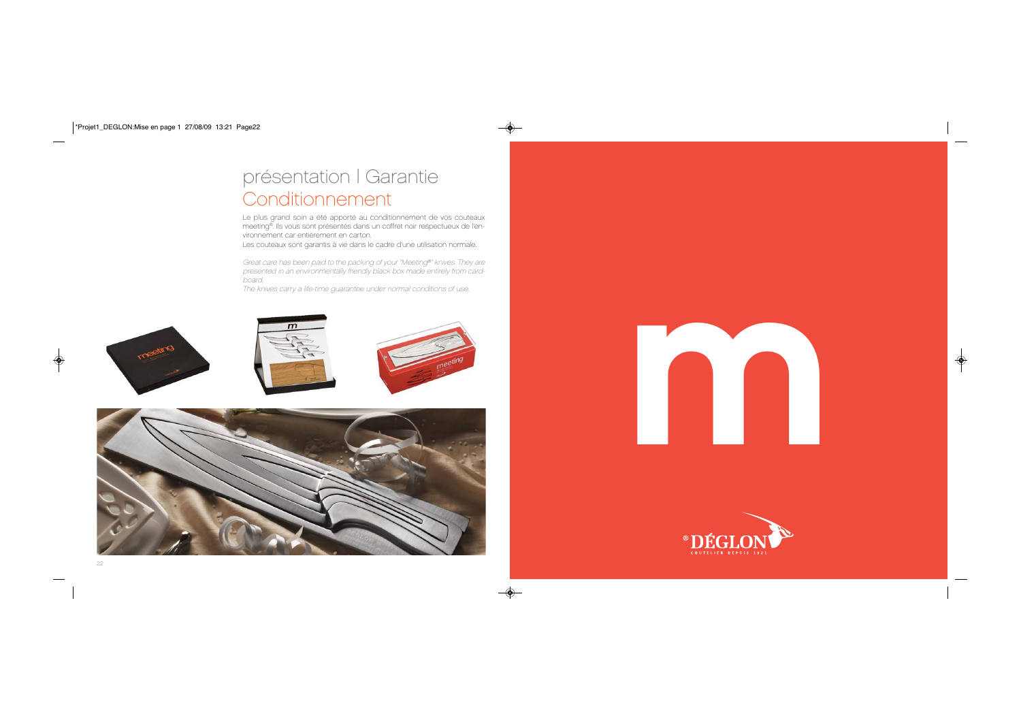# présentation | Garantie Conditionnement

Le plus grand soin a été apporté au conditionnement de vos couteaux meeting®. Ils vous sont présentés dans un coffret noir respectueux de l'environnement car entièrement en carton.

Les couteaux sont garantis à vie dans le cadre d'une utilisation normale.

Great care has been paid to the packing of your "Meeting®" knives. They are presented in an environmentally friendly black box made entirely from cardboard.

The knives carry a life-time guarantee under normal conditions of use.

![](_page_11_Picture_5.jpeg)

![](_page_11_Picture_6.jpeg)

![](_page_11_Picture_7.jpeg)

![](_page_11_Picture_8.jpeg)